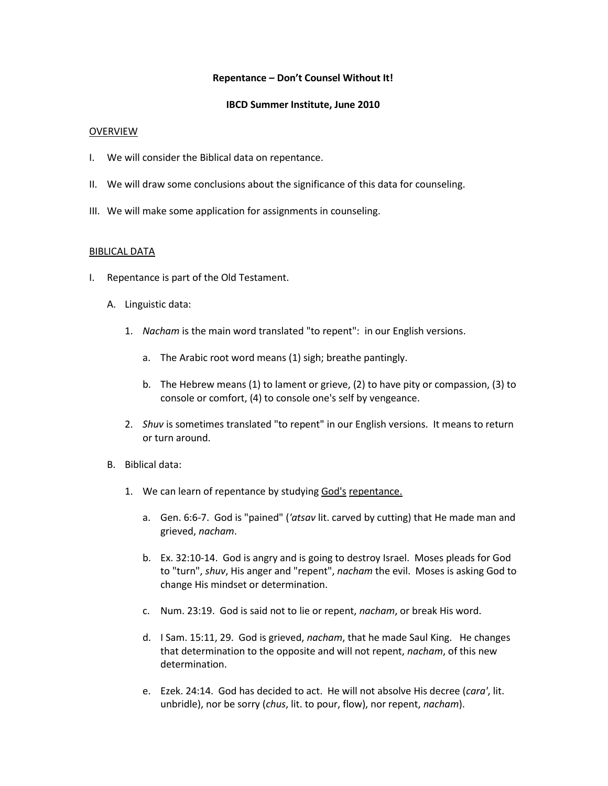## **Repentance – Don't Counsel Without It!**

## **IBCD Summer Institute, June 2010**

## OVERVIEW

- I. We will consider the Biblical data on repentance.
- II. We will draw some conclusions about the significance of this data for counseling.
- III. We will make some application for assignments in counseling.

### BIBLICAL DATA

- I. Repentance is part of the Old Testament.
	- A. Linguistic data:
		- 1. *Nacham* is the main word translated "to repent": in our English versions.
			- a. The Arabic root word means (1) sigh; breathe pantingly.
			- b. The Hebrew means (1) to lament or grieve, (2) to have pity or compassion, (3) to console or comfort, (4) to console one's self by vengeance.
		- 2. *Shuv* is sometimes translated "to repent" in our English versions. It means to return or turn around.
	- B. Biblical data:
		- 1. We can learn of repentance by studying God's repentance.
			- a. Gen. 6:6-7. God is "pained" (*'atsav* lit. carved by cutting) that He made man and grieved, *nacham*.
			- b. Ex. 32:10-14. God is angry and is going to destroy Israel. Moses pleads for God to "turn", *shuv*, His anger and "repent", *nacham* the evil. Moses is asking God to change His mindset or determination.
			- c. Num. 23:19. God is said not to lie or repent, *nacham*, or break His word.
			- d. I Sam. 15:11, 29. God is grieved, *nacham*, that he made Saul King. He changes that determination to the opposite and will not repent, *nacham*, of this new determination.
			- e. Ezek. 24:14. God has decided to act. He will not absolve His decree (*cara'*, lit. unbridle), nor be sorry (*chus*, lit. to pour, flow), nor repent, *nacham*).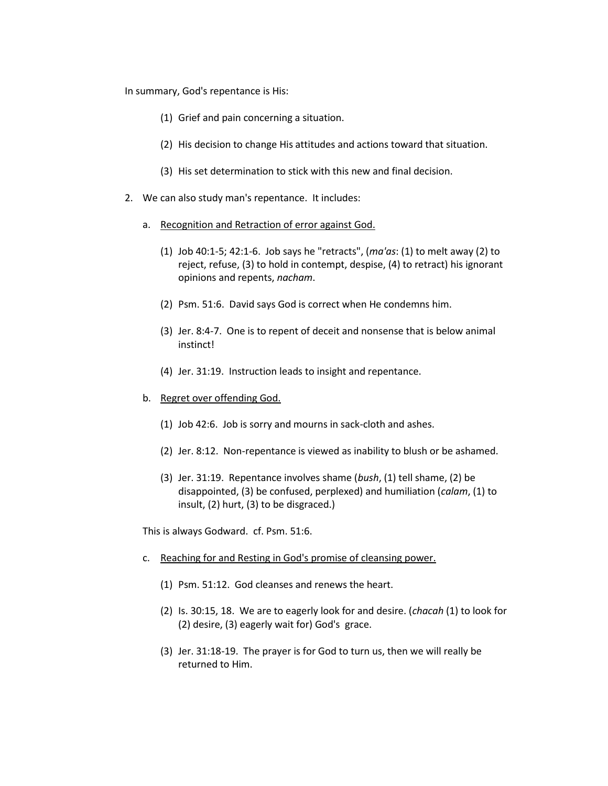In summary, God's repentance is His:

- (1) Grief and pain concerning a situation.
- (2) His decision to change His attitudes and actions toward that situation.
- (3) His set determination to stick with this new and final decision.
- 2. We can also study man's repentance. It includes:
	- a. Recognition and Retraction of error against God.
		- (1) Job 40:1-5; 42:1-6. Job says he "retracts", (*ma'as*: (1) to melt away (2) to reject, refuse, (3) to hold in contempt, despise, (4) to retract) his ignorant opinions and repents, *nacham*.
		- (2) Psm. 51:6. David says God is correct when He condemns him.
		- (3) Jer. 8:4-7. One is to repent of deceit and nonsense that is below animal instinct!
		- (4) Jer. 31:19. Instruction leads to insight and repentance.
	- b. Regret over offending God.
		- (1) Job 42:6. Job is sorry and mourns in sack-cloth and ashes.
		- (2) Jer. 8:12. Non-repentance is viewed as inability to blush or be ashamed.
		- (3) Jer. 31:19. Repentance involves shame (*bush*, (1) tell shame, (2) be disappointed, (3) be confused, perplexed) and humiliation (*calam*, (1) to insult, (2) hurt, (3) to be disgraced.)

This is always Godward. cf. Psm. 51:6.

- c. Reaching for and Resting in God's promise of cleansing power.
	- (1) Psm. 51:12. God cleanses and renews the heart.
	- (2) Is. 30:15, 18. We are to eagerly look for and desire. (*chacah* (1) to look for (2) desire, (3) eagerly wait for) God's grace.
	- (3) Jer. 31:18-19. The prayer is for God to turn us, then we will really be returned to Him.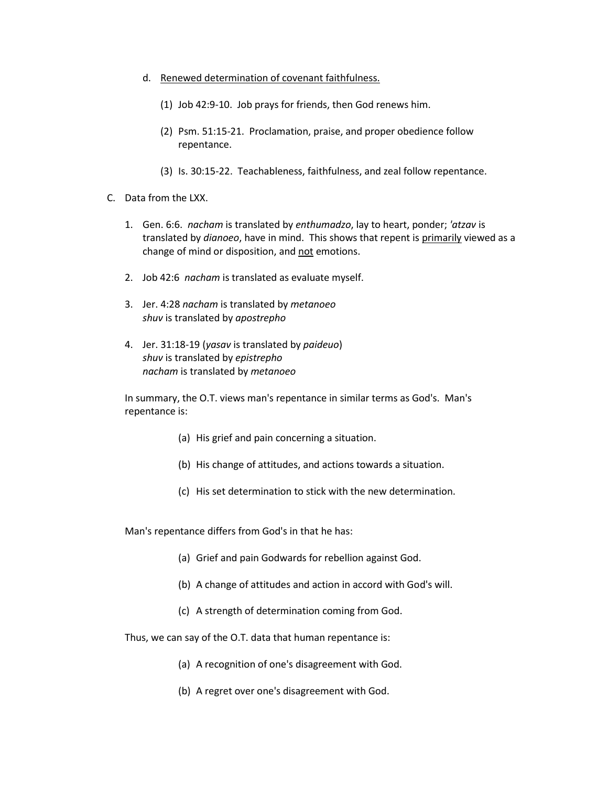- d. Renewed determination of covenant faithfulness.
	- (1) Job 42:9-10. Job prays for friends, then God renews him.
	- (2) Psm. 51:15-21. Proclamation, praise, and proper obedience follow repentance.
	- (3) Is. 30:15-22. Teachableness, faithfulness, and zeal follow repentance.
- C. Data from the LXX.
	- 1. Gen. 6:6. *nacham* is translated by *enthumadzo*, lay to heart, ponder; *'atzav* is translated by *dianoeo*, have in mind. This shows that repent is primarily viewed as a change of mind or disposition, and not emotions.
	- 2. Job 42:6 *nacham* is translated as evaluate myself.
	- 3. Jer. 4:28 *nacham* is translated by *metanoeo shuv* is translated by *apostrepho*
	- 4. Jer. 31:18-19 (*yasav* is translated by *paideuo*) *shuv* is translated by *epistrepho nacham* is translated by *metanoeo*

In summary, the O.T. views man's repentance in similar terms as God's. Man's repentance is:

- (a) His grief and pain concerning a situation.
- (b) His change of attitudes, and actions towards a situation.
- (c) His set determination to stick with the new determination.

Man's repentance differs from God's in that he has:

- (a) Grief and pain Godwards for rebellion against God.
- (b) A change of attitudes and action in accord with God's will.
- (c) A strength of determination coming from God.

Thus, we can say of the O.T. data that human repentance is:

- (a) A recognition of one's disagreement with God.
- (b) A regret over one's disagreement with God.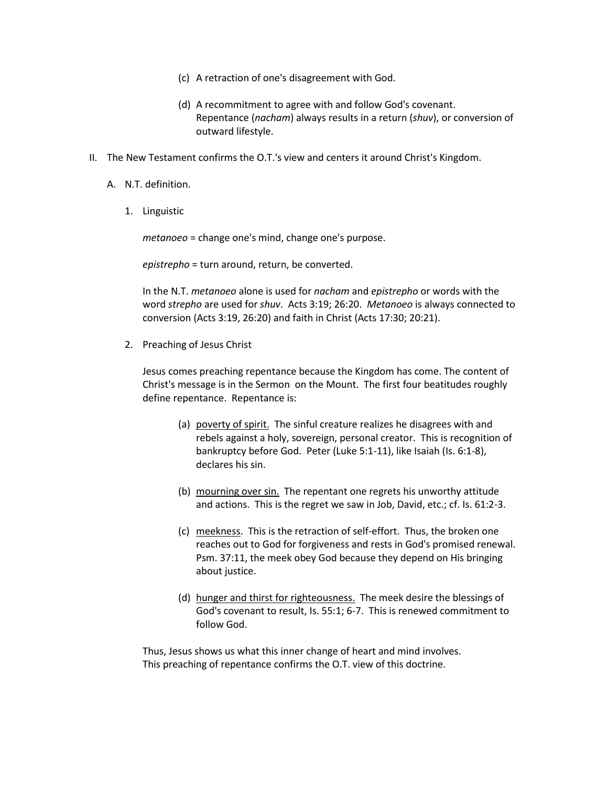- (c) A retraction of one's disagreement with God.
- (d) A recommitment to agree with and follow God's covenant. Repentance (*nacham*) always results in a return (*shuv*), or conversion of outward lifestyle.
- II. The New Testament confirms the O.T.'s view and centers it around Christ's Kingdom.
	- A. N.T. definition.
		- 1. Linguistic

*metanoeo* = change one's mind, change one's purpose.

*epistrepho* = turn around, return, be converted.

In the N.T. *metanoeo* alone is used for *nacham* and *epistrepho* or words with the word *strepho* are used for *shuv*. Acts 3:19; 26:20. *Metanoeo* is always connected to conversion (Acts 3:19, 26:20) and faith in Christ (Acts 17:30; 20:21).

2. Preaching of Jesus Christ

Jesus comes preaching repentance because the Kingdom has come. The content of Christ's message is in the Sermon on the Mount. The first four beatitudes roughly define repentance. Repentance is:

- (a) poverty of spirit. The sinful creature realizes he disagrees with and rebels against a holy, sovereign, personal creator. This is recognition of bankruptcy before God. Peter (Luke 5:1-11), like Isaiah (Is. 6:1-8), declares his sin.
- (b) mourning over sin. The repentant one regrets his unworthy attitude and actions. This is the regret we saw in Job, David, etc.; cf. Is. 61:2-3.
- (c) meekness. This is the retraction of self-effort. Thus, the broken one reaches out to God for forgiveness and rests in God's promised renewal. Psm. 37:11, the meek obey God because they depend on His bringing about justice.
- (d) hunger and thirst for righteousness. The meek desire the blessings of God's covenant to result, Is. 55:1; 6-7. This is renewed commitment to follow God.

Thus, Jesus shows us what this inner change of heart and mind involves. This preaching of repentance confirms the O.T. view of this doctrine.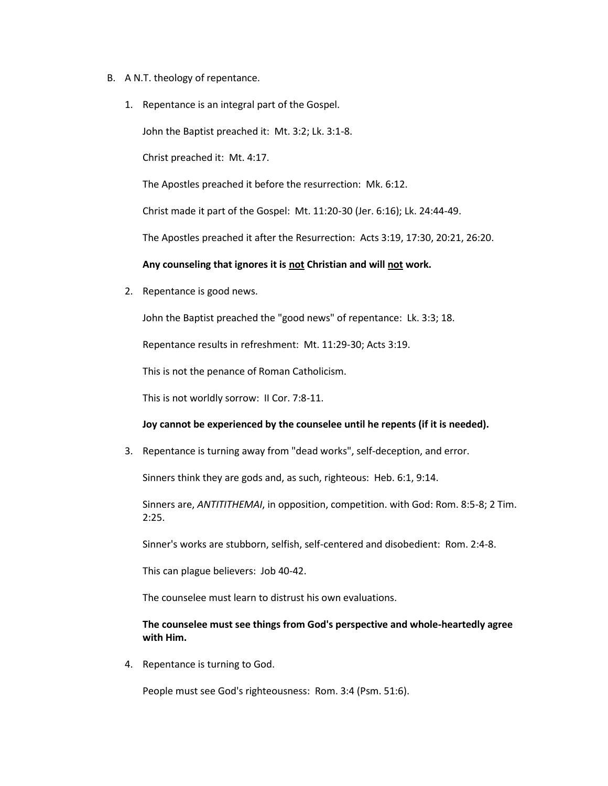- B. A N.T. theology of repentance.
	- 1. Repentance is an integral part of the Gospel.

John the Baptist preached it: Mt. 3:2; Lk. 3:1-8.

Christ preached it: Mt. 4:17.

The Apostles preached it before the resurrection: Mk. 6:12.

Christ made it part of the Gospel: Mt. 11:20-30 (Jer. 6:16); Lk. 24:44-49.

The Apostles preached it after the Resurrection: Acts 3:19, 17:30, 20:21, 26:20.

### **Any counseling that ignores it is not Christian and will not work.**

2. Repentance is good news.

John the Baptist preached the "good news" of repentance: Lk. 3:3; 18.

Repentance results in refreshment: Mt. 11:29-30; Acts 3:19.

This is not the penance of Roman Catholicism.

This is not worldly sorrow: II Cor. 7:8-11.

### **Joy cannot be experienced by the counselee until he repents (if it is needed).**

3. Repentance is turning away from "dead works", self-deception, and error.

Sinners think they are gods and, as such, righteous: Heb. 6:1, 9:14.

Sinners are, *ANTITITHEMAI*, in opposition, competition. with God: Rom. 8:5-8; 2 Tim. 2:25.

Sinner's works are stubborn, selfish, self-centered and disobedient: Rom. 2:4-8.

This can plague believers: Job 40-42.

The counselee must learn to distrust his own evaluations.

## **The counselee must see things from God's perspective and whole-heartedly agree with Him.**

4. Repentance is turning to God.

People must see God's righteousness: Rom. 3:4 (Psm. 51:6).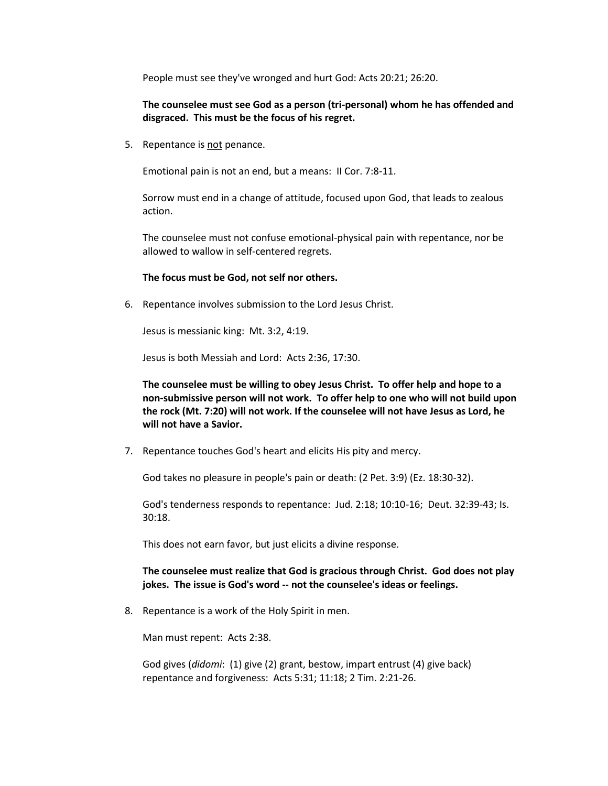People must see they've wronged and hurt God: Acts 20:21; 26:20.

# **The counselee must see God as a person (tri-personal) whom he has offended and disgraced. This must be the focus of his regret.**

5. Repentance is not penance.

Emotional pain is not an end, but a means: II Cor. 7:8-11.

Sorrow must end in a change of attitude, focused upon God, that leads to zealous action.

The counselee must not confuse emotional-physical pain with repentance, nor be allowed to wallow in self-centered regrets.

## **The focus must be God, not self nor others.**

6. Repentance involves submission to the Lord Jesus Christ.

Jesus is messianic king: Mt. 3:2, 4:19.

Jesus is both Messiah and Lord: Acts 2:36, 17:30.

**The counselee must be willing to obey Jesus Christ. To offer help and hope to a non-submissive person will not work. To offer help to one who will not build upon the rock (Mt. 7:20) will not work. If the counselee will not have Jesus as Lord, he will not have a Savior.**

7. Repentance touches God's heart and elicits His pity and mercy.

God takes no pleasure in people's pain or death: (2 Pet. 3:9) (Ez. 18:30-32).

God's tenderness responds to repentance: Jud. 2:18; 10:10-16; Deut. 32:39-43; Is. 30:18.

This does not earn favor, but just elicits a divine response.

## **The counselee must realize that God is gracious through Christ. God does not play jokes. The issue is God's word -- not the counselee's ideas or feelings.**

8. Repentance is a work of the Holy Spirit in men.

Man must repent: Acts 2:38.

God gives (*didomi*: (1) give (2) grant, bestow, impart entrust (4) give back) repentance and forgiveness: Acts 5:31; 11:18; 2 Tim. 2:21-26.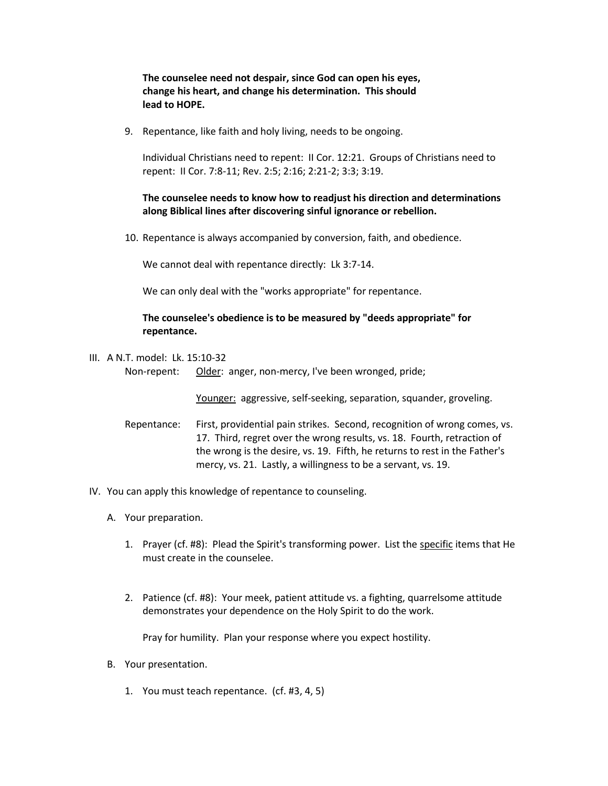**The counselee need not despair, since God can open his eyes, change his heart, and change his determination. This should lead to HOPE.**

9. Repentance, like faith and holy living, needs to be ongoing.

Individual Christians need to repent: II Cor. 12:21. Groups of Christians need to repent: II Cor. 7:8-11; Rev. 2:5; 2:16; 2:21-2; 3:3; 3:19.

**The counselee needs to know how to readjust his direction and determinations along Biblical lines after discovering sinful ignorance or rebellion.**

10. Repentance is always accompanied by conversion, faith, and obedience.

We cannot deal with repentance directly: Lk 3:7-14.

We can only deal with the "works appropriate" for repentance.

## **The counselee's obedience is to be measured by "deeds appropriate" for repentance.**

III. A N.T. model: Lk. 15:10-32 Non-repent: Older: anger, non-mercy, I've been wronged, pride;

Younger: aggressive, self-seeking, separation, squander, groveling.

- Repentance: First, providential pain strikes. Second, recognition of wrong comes, vs. 17. Third, regret over the wrong results, vs. 18. Fourth, retraction of the wrong is the desire, vs. 19. Fifth, he returns to rest in the Father's mercy, vs. 21. Lastly, a willingness to be a servant, vs. 19.
- IV. You can apply this knowledge of repentance to counseling.
	- A. Your preparation.
		- 1. Prayer (cf. #8): Plead the Spirit's transforming power. List the specific items that He must create in the counselee.
		- 2. Patience (cf. #8): Your meek, patient attitude vs. a fighting, quarrelsome attitude demonstrates your dependence on the Holy Spirit to do the work.

Pray for humility. Plan your response where you expect hostility.

- B. Your presentation.
	- 1. You must teach repentance. (cf. #3, 4, 5)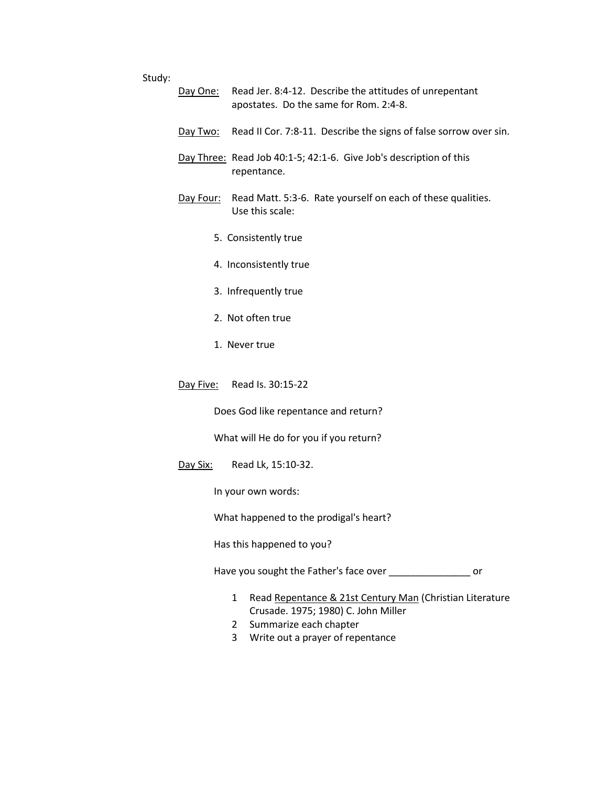#### Study:

- Day One: Read Jer. 8:4-12. Describe the attitudes of unrepentant apostates. Do the same for Rom. 2:4-8.
- Day Two: Read II Cor. 7:8-11. Describe the signs of false sorrow over sin.
- Day Three: Read Job 40:1-5; 42:1-6. Give Job's description of this repentance.
- Day Four: Read Matt. 5:3-6. Rate yourself on each of these qualities. Use this scale:
	- 5. Consistently true
	- 4. Inconsistently true
	- 3. Infrequently true
	- 2. Not often true
	- 1. Never true
- Day Five: Read Is. 30:15-22

Does God like repentance and return?

What will He do for you if you return?

Day Six: Read Lk, 15:10-32.

In your own words:

What happened to the prodigal's heart?

Has this happened to you?

Have you sought the Father's face over \_\_\_\_\_\_\_\_\_\_\_\_\_\_\_\_\_\_ or

- 1 Read Repentance & 21st Century Man (Christian Literature Crusade. 1975; 1980) C. John Miller
- 2 Summarize each chapter
- 3 Write out a prayer of repentance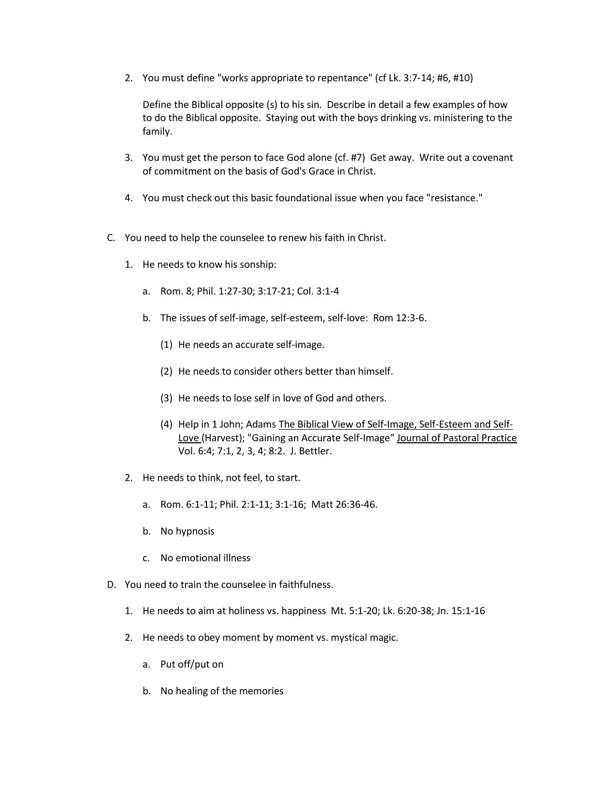2. You must define "works appropriate to repentance" (cf Lk. 3:7-14; #6, #10)

Define the Biblical opposite (s) to his sin. Describe in detail a few examples of how to do the Biblical opposite. Staying out with the boys drinking vs. ministering to the family.

- 3. You must get the person to face God alone (cf. #7) Get away. Write out a covenant of commitment on the basis of God's Grace in Christ.
- 4. You must check out this basic foundational issue when you face "resistance."
- C. You need to help the counselee to renew his faith in Christ.
	- 1. He needs to know his sonship:
		- a. Rom. 8; Phil. 1:27-30; 3:17-21; Col. 3:1-4
		- b. The issues of self-image, self-esteem, self-love: Rom 12:3-6.
			- (1) He needs an accurate self-image.
			- (2) He needs to consider others better than himself.
			- (3) He needs to lose self in love of God and others.
			- (4) Help in 1 John; Adams The Biblical View of Self-Image, Self-Esteem and Self-Love (Harvest); "Gaining an Accurate Self-Image" Journal of Pastoral Practice Vol. 6:4; 7:1, 2, 3, 4; 8:2. J. Bettler.
	- 2. He needs to think, not feel, to start.
		- a. Rom. 6:1-11; Phil. 2:1-11; 3:1-16; Matt 26:36-46.
		- b. No hypnosis
		- c. No emotional illness
- D. You need to train the counselee in faithfulness.
	- 1. He needs to aim at holiness vs. happiness Mt. 5:1-20; Lk. 6:20-38; Jn. 15:1-16
	- 2. He needs to obey moment by moment vs. mystical magic.
		- a. Put off/put on
		- b. No healing of the memories